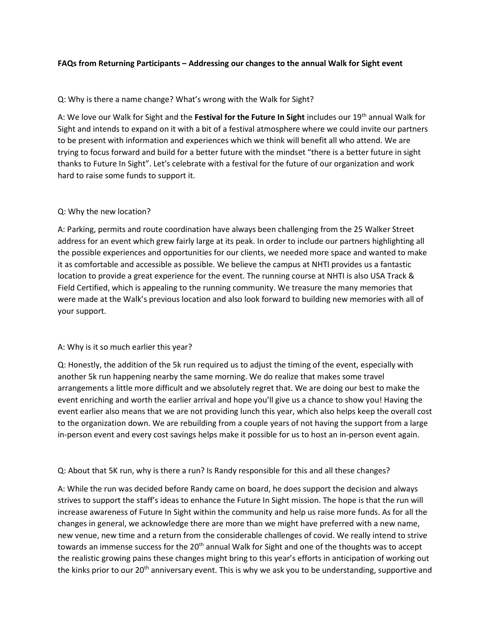# FAQs from Returning Participants – Addressing our changes to the annual Walk for Sight event

# Q: Why is there a name change? What's wrong with the Walk for Sight?

A: We love our Walk for Sight and the Festival for the Future In Sight includes our 19<sup>th</sup> annual Walk for Sight and intends to expand on it with a bit of a festival atmosphere where we could invite our partners to be present with information and experiences which we think will benefit all who attend. We are trying to focus forward and build for a better future with the mindset "there is a better future in sight thanks to Future In Sight". Let's celebrate with a festival for the future of our organization and work hard to raise some funds to support it.

## Q: Why the new location?

A: Parking, permits and route coordination have always been challenging from the 25 Walker Street address for an event which grew fairly large at its peak. In order to include our partners highlighting all the possible experiences and opportunities for our clients, we needed more space and wanted to make it as comfortable and accessible as possible. We believe the campus at NHTI provides us a fantastic location to provide a great experience for the event. The running course at NHTI is also USA Track & Field Certified, which is appealing to the running community. We treasure the many memories that were made at the Walk's previous location and also look forward to building new memories with all of your support.

## A: Why is it so much earlier this year?

Q: Honestly, the addition of the 5k run required us to adjust the timing of the event, especially with another 5k run happening nearby the same morning. We do realize that makes some travel arrangements a little more difficult and we absolutely regret that. We are doing our best to make the event enriching and worth the earlier arrival and hope you'll give us a chance to show you! Having the event earlier also means that we are not providing lunch this year, which also helps keep the overall cost to the organization down. We are rebuilding from a couple years of not having the support from a large in-person event and every cost savings helps make it possible for us to host an in-person event again.

## Q: About that 5K run, why is there a run? Is Randy responsible for this and all these changes?

A: While the run was decided before Randy came on board, he does support the decision and always strives to support the staff's ideas to enhance the Future In Sight mission. The hope is that the run will increase awareness of Future In Sight within the community and help us raise more funds. As for all the changes in general, we acknowledge there are more than we might have preferred with a new name, new venue, new time and a return from the considerable challenges of covid. We really intend to strive towards an immense success for the 20<sup>th</sup> annual Walk for Sight and one of the thoughts was to accept the realistic growing pains these changes might bring to this year's efforts in anticipation of working out the kinks prior to our 20<sup>th</sup> anniversary event. This is why we ask you to be understanding, supportive and